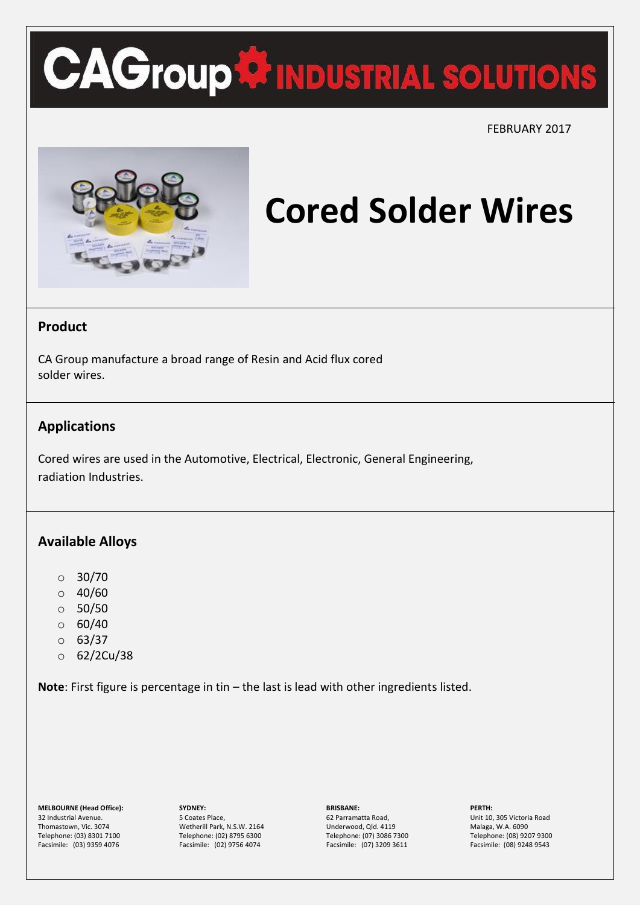# **CAGroup<sup>4</sup> INDUSTRIAL SOLUTIONS**

 $\overline{a}$ 

FEBRUARY 2017



### **Cored Solder Wires**

### **Product**

CA Group manufacture a broad range of Resin and Acid flux cored solder wires.

### **Applications**

Cored wires are used in the Automotive, Electrical, Electronic, General Engineering, radiation Industries.

### **Available Alloys**

- $\circ$  30/70
- $\circ$  40/60
- $\circ$  50/50
- $\circ$  60/40
- $0.63/37$
- o 62/2Cu/38

**Note**: First figure is percentage in tin – the last is lead with other ingredients listed.

**MELBOURNE (Head Office):** 32 Industrial Avenue. Thomastown, Vic. 3074 Telephone: (03) 8301 7100 Facsimile: (03) 9359 4076

**SYDNEY:** 5 Coates Place, Wetherill Park, N.S.W. 2164 Telephone: (02) 8795 6300 Facsimile: (02) 9756 4074

**BRISBANE:** 62 Parramatta Road,

Underwood, Qld. 4119 Telephone: (07) 3086 7300 Facsimile: (07) 3209 3611 **PERTH:**

Unit 10, 305 Victoria Road Malaga, W.A. 6090 Telephone: (08) 9207 9300 Facsimile: (08) 9248 9543